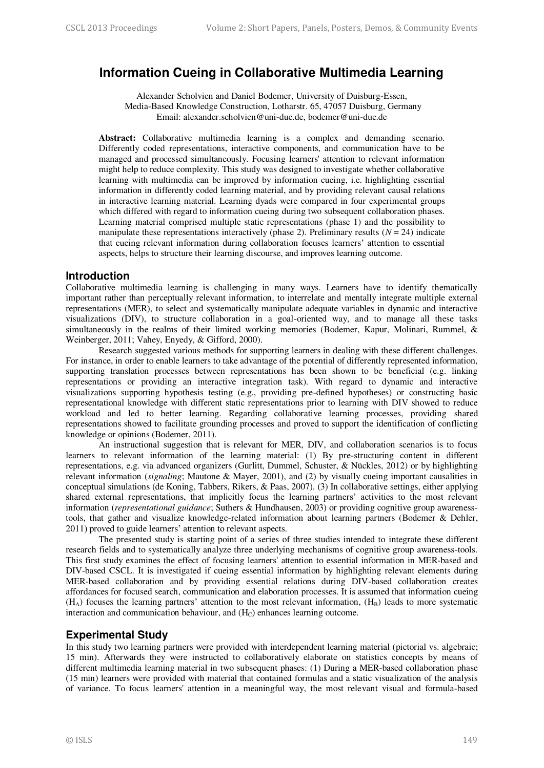# **Information Cueing in Collaborative Multimedia Learning**

Alexander Scholvien and Daniel Bodemer, University of Duisburg-Essen, Media-Based Knowledge Construction, Lotharstr. 65, 47057 Duisburg, Germany Email: alexander.scholvien@uni-due.de, bodemer@uni-due.de

**Abstract:** Collaborative multimedia learning is a complex and demanding scenario. Differently coded representations, interactive components, and communication have to be managed and processed simultaneously. Focusing learners' attention to relevant information might help to reduce complexity. This study was designed to investigate whether collaborative learning with multimedia can be improved by information cueing, i.e. highlighting essential information in differently coded learning material, and by providing relevant causal relations in interactive learning material. Learning dyads were compared in four experimental groups which differed with regard to information cueing during two subsequent collaboration phases. Learning material comprised multiple static representations (phase 1) and the possibility to manipulate these representations interactively (phase 2). Preliminary results  $(N = 24)$  indicate that cueing relevant information during collaboration focuses learners' attention to essential aspects, helps to structure their learning discourse, and improves learning outcome.

### **Introduction**

Collaborative multimedia learning is challenging in many ways. Learners have to identify thematically important rather than perceptually relevant information, to interrelate and mentally integrate multiple external representations (MER), to select and systematically manipulate adequate variables in dynamic and interactive visualizations (DIV), to structure collaboration in a goal-oriented way, and to manage all these tasks simultaneously in the realms of their limited working memories (Bodemer, Kapur, Molinari, Rummel, & Weinberger, 2011; Vahey, Enyedy, & Gifford, 2000).

Research suggested various methods for supporting learners in dealing with these different challenges. For instance, in order to enable learners to take advantage of the potential of differently represented information, supporting translation processes between representations has been shown to be beneficial (e.g. linking representations or providing an interactive integration task). With regard to dynamic and interactive visualizations supporting hypothesis testing (e.g., providing pre-defined hypotheses) or constructing basic representational knowledge with different static representations prior to learning with DIV showed to reduce workload and led to better learning. Regarding collaborative learning processes, providing shared representations showed to facilitate grounding processes and proved to support the identification of conflicting knowledge or opinions (Bodemer, 2011).

An instructional suggestion that is relevant for MER, DIV, and collaboration scenarios is to focus learners to relevant information of the learning material: (1) By pre-structuring content in different representations, e.g. via advanced organizers (Gurlitt, Dummel, Schuster, & Nückles, 2012) or by highlighting relevant information (*signaling*; Mautone & Mayer, 2001), and (2) by visually cueing important causalities in conceptual simulations (de Koning, Tabbers, Rikers, & Paas, 2007). (3) In collaborative settings, either applying shared external representations, that implicitly focus the learning partners' activities to the most relevant information (*representational guidance*; Suthers & Hundhausen, 2003) or providing cognitive group awarenesstools, that gather and visualize knowledge-related information about learning partners (Bodemer & Dehler, 2011) proved to guide learners' attention to relevant aspects.

The presented study is starting point of a series of three studies intended to integrate these different research fields and to systematically analyze three underlying mechanisms of cognitive group awareness-tools. This first study examines the effect of focusing learners' attention to essential information in MER-based and DIV-based CSCL. It is investigated if cueing essential information by highlighting relevant elements during MER-based collaboration and by providing essential relations during DIV-based collaboration creates affordances for focused search, communication and elaboration processes. It is assumed that information cueing  $(H_A)$  focuses the learning partners' attention to the most relevant information,  $(H_B)$  leads to more systematic interaction and communication behaviour, and  $(H<sub>C</sub>)$  enhances learning outcome.

## **Experimental Study**

In this study two learning partners were provided with interdependent learning material (pictorial vs. algebraic; 15 min). Afterwards they were instructed to collaboratively elaborate on statistics concepts by means of different multimedia learning material in two subsequent phases: (1) During a MER-based collaboration phase (15 min) learners were provided with material that contained formulas and a static visualization of the analysis of variance. To focus learners' attention in a meaningful way, the most relevant visual and formula-based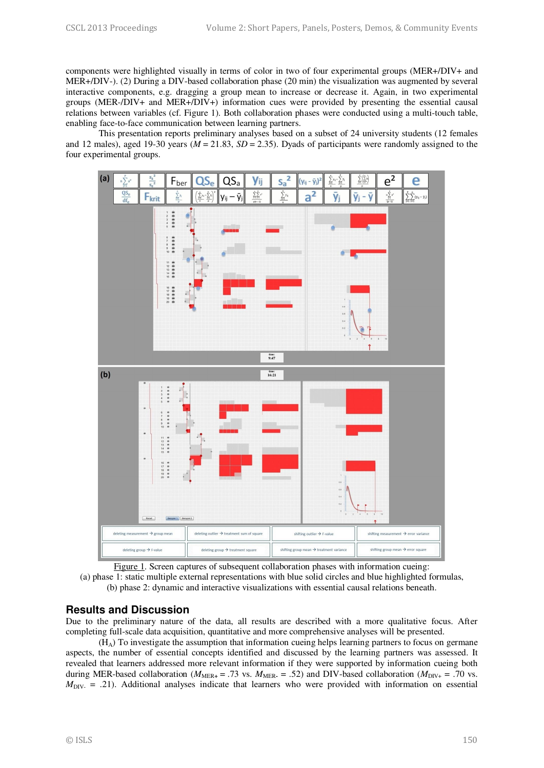components were highlighted visually in terms of color in two of four experimental groups (MER+/DIV+ and MER+/DIV-). (2) During a DIV-based collaboration phase (20 min) the visualization was augmented by several interactive components, e.g. dragging a group mean to increase or decrease it. Again, in two experimental groups (MER-/DIV+ and MER+/DIV+) information cues were provided by presenting the essential causal relations between variables (cf. Figure 1). Both collaboration phases were conducted using a multi-touch table, enabling face-to-face communication between learning partners.

This presentation reports preliminary analyses based on a subset of 24 university students (12 females and 12 males), aged 19-30 years (*M* = 21.83, *SD* = 2.35). Dyads of participants were randomly assigned to the four experimental groups.





### **Results and Discussion**

Due to the preliminary nature of the data, all results are described with a more qualitative focus. After completing full-scale data acquisition, quantitative and more comprehensive analyses will be presented.

(HA) To investigate the assumption that information cueing helps learning partners to focus on germane aspects, the number of essential concepts identified and discussed by the learning partners was assessed. It revealed that learners addressed more relevant information if they were supported by information cueing both during MER-based collaboration ( $M_{MER+}$  = .73 vs.  $M_{MER}$  = .52) and DIV-based collaboration ( $M_{DIV+}$  = .70 vs.  $M_{\text{DIV}} = .21$ ). Additional analyses indicate that learners who were provided with information on essential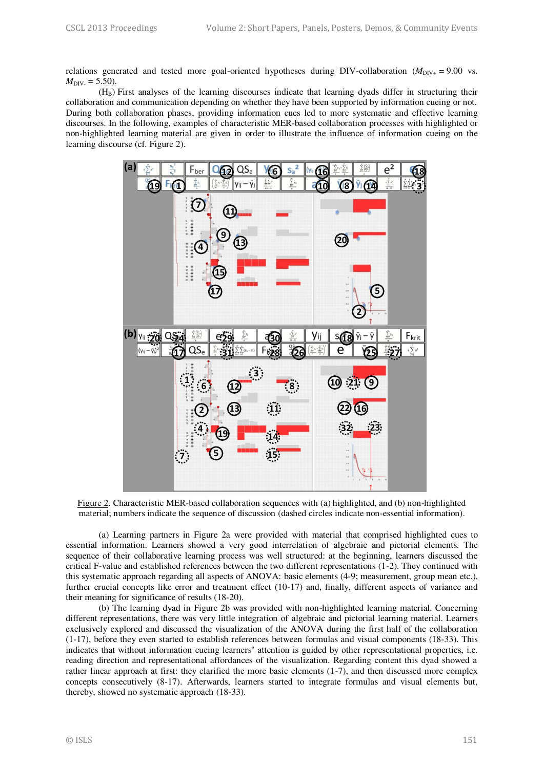relations generated and tested more goal-oriented hypotheses during DIV-collaboration  $(M_{\text{DY+}} = 9.00 \text{ vs.})$  $M_{\text{DIV}} = 5.50$ ).

(HB) First analyses of the learning discourses indicate that learning dyads differ in structuring their collaboration and communication depending on whether they have been supported by information cueing or not. During both collaboration phases, providing information cues led to more systematic and effective learning discourses. In the following, examples of characteristic MER-based collaboration processes with highlighted or non-highlighted learning material are given in order to illustrate the influence of information cueing on the learning discourse (cf. Figure 2).



Figure 2. Characteristic MER-based collaboration sequences with (a) highlighted, and (b) non-highlighted material; numbers indicate the sequence of discussion (dashed circles indicate non-essential information).

(a) Learning partners in Figure 2a were provided with material that comprised highlighted cues to essential information. Learners showed a very good interrelation of algebraic and pictorial elements. The sequence of their collaborative learning process was well structured: at the beginning, learners discussed the critical F-value and established references between the two different representations (1-2). They continued with this systematic approach regarding all aspects of ANOVA: basic elements (4-9; measurement, group mean etc.), further crucial concepts like error and treatment effect (10-17) and, finally, different aspects of variance and their meaning for significance of results (18-20).

(b) The learning dyad in Figure 2b was provided with non-highlighted learning material. Concerning different representations, there was very little integration of algebraic and pictorial learning material. Learners exclusively explored and discussed the visualization of the ANOVA during the first half of the collaboration (1-17), before they even started to establish references between formulas and visual components (18-33). This indicates that without information cueing learners' attention is guided by other representational properties, i.e. reading direction and representational affordances of the visualization. Regarding content this dyad showed a rather linear approach at first: they clarified the more basic elements (1-7), and then discussed more complex concepts consecutively (8-17). Afterwards, learners started to integrate formulas and visual elements but, thereby, showed no systematic approach (18-33).